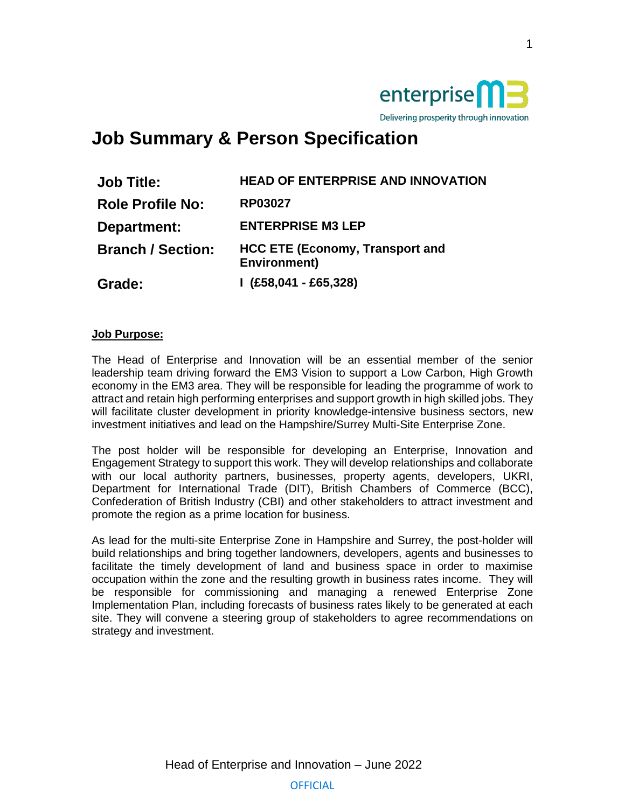

# **Job Summary & Person Specification**

| <b>Job Title:</b>        | <b>HEAD OF ENTERPRISE AND INNOVATION</b>                      |
|--------------------------|---------------------------------------------------------------|
| <b>Role Profile No:</b>  | <b>RP03027</b>                                                |
| Department:              | <b>ENTERPRISE M3 LEP</b>                                      |
| <b>Branch / Section:</b> | <b>HCC ETE (Economy, Transport and</b><br><b>Environment)</b> |
| Grade:                   | I $(E58,041 - E65,328)$                                       |

## **Job Purpose:**

The Head of Enterprise and Innovation will be an essential member of the senior leadership team driving forward the EM3 Vision to support a Low Carbon, High Growth economy in the EM3 area. They will be responsible for leading the programme of work to attract and retain high performing enterprises and support growth in high skilled jobs. They will facilitate cluster development in priority knowledge-intensive business sectors, new investment initiatives and lead on the Hampshire/Surrey Multi-Site Enterprise Zone.

The post holder will be responsible for developing an Enterprise, Innovation and Engagement Strategy to support this work. They will develop relationships and collaborate with our local authority partners, businesses, property agents, developers, UKRI, Department for International Trade (DIT), British Chambers of Commerce (BCC), Confederation of British Industry (CBI) and other stakeholders to attract investment and promote the region as a prime location for business.

As lead for the multi-site Enterprise Zone in Hampshire and Surrey, the post-holder will build relationships and bring together landowners, developers, agents and businesses to facilitate the timely development of land and business space in order to maximise occupation within the zone and the resulting growth in business rates income. They will be responsible for commissioning and managing a renewed Enterprise Zone Implementation Plan, including forecasts of business rates likely to be generated at each site. They will convene a steering group of stakeholders to agree recommendations on strategy and investment.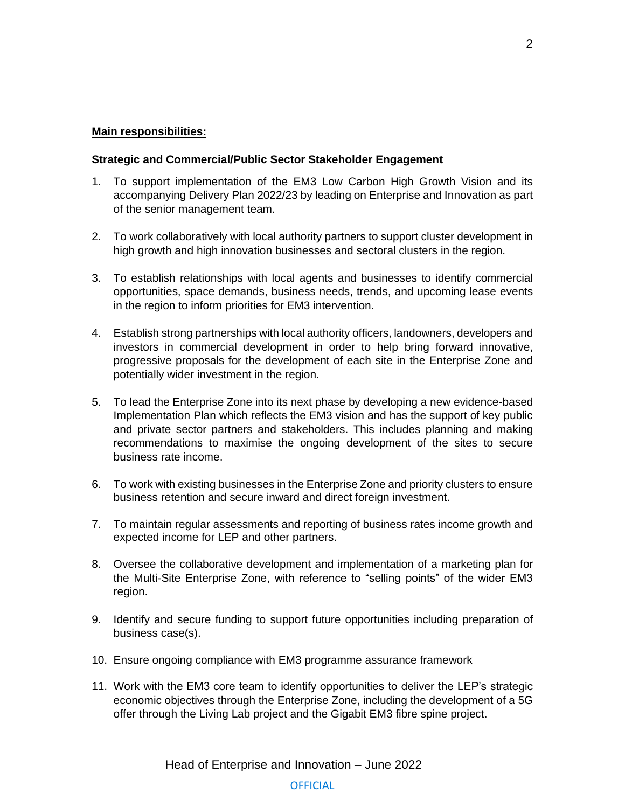## **Main responsibilities:**

#### **Strategic and Commercial/Public Sector Stakeholder Engagement**

- 1. To support implementation of the EM3 Low Carbon High Growth Vision and its accompanying Delivery Plan 2022/23 by leading on Enterprise and Innovation as part of the senior management team.
- 2. To work collaboratively with local authority partners to support cluster development in high growth and high innovation businesses and sectoral clusters in the region.
- 3. To establish relationships with local agents and businesses to identify commercial opportunities, space demands, business needs, trends, and upcoming lease events in the region to inform priorities for EM3 intervention.
- 4. Establish strong partnerships with local authority officers, landowners, developers and investors in commercial development in order to help bring forward innovative, progressive proposals for the development of each site in the Enterprise Zone and potentially wider investment in the region.
- 5. To lead the Enterprise Zone into its next phase by developing a new evidence-based Implementation Plan which reflects the EM3 vision and has the support of key public and private sector partners and stakeholders. This includes planning and making recommendations to maximise the ongoing development of the sites to secure business rate income.
- 6. To work with existing businesses in the Enterprise Zone and priority clusters to ensure business retention and secure inward and direct foreign investment.
- 7. To maintain regular assessments and reporting of business rates income growth and expected income for LEP and other partners.
- 8. Oversee the collaborative development and implementation of a marketing plan for the Multi-Site Enterprise Zone, with reference to "selling points" of the wider EM3 region.
- 9. Identify and secure funding to support future opportunities including preparation of business case(s).
- 10. Ensure ongoing compliance with EM3 programme assurance framework
- 11. Work with the EM3 core team to identify opportunities to deliver the LEP's strategic economic objectives through the Enterprise Zone, including the development of a 5G offer through the Living Lab project and the Gigabit EM3 fibre spine project.

### **OFFICIAL**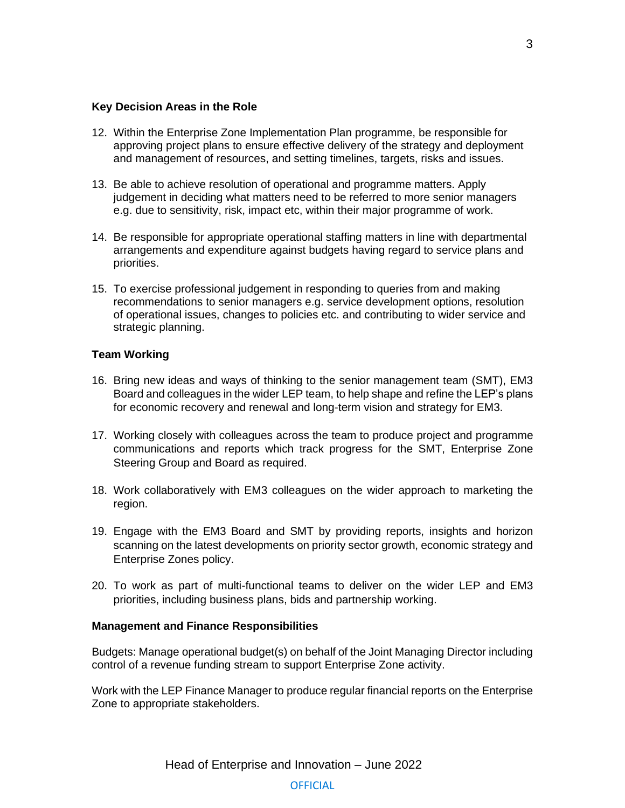#### **Key Decision Areas in the Role**

- 12. Within the Enterprise Zone Implementation Plan programme, be responsible for approving project plans to ensure effective delivery of the strategy and deployment and management of resources, and setting timelines, targets, risks and issues.
- 13. Be able to achieve resolution of operational and programme matters. Apply judgement in deciding what matters need to be referred to more senior managers e.g. due to sensitivity, risk, impact etc, within their major programme of work.
- 14. Be responsible for appropriate operational staffing matters in line with departmental arrangements and expenditure against budgets having regard to service plans and priorities.
- 15. To exercise professional judgement in responding to queries from and making recommendations to senior managers e.g. service development options, resolution of operational issues, changes to policies etc. and contributing to wider service and strategic planning.

## **Team Working**

- 16. Bring new ideas and ways of thinking to the senior management team (SMT), EM3 Board and colleagues in the wider LEP team, to help shape and refine the LEP's plans for economic recovery and renewal and long-term vision and strategy for EM3.
- 17. Working closely with colleagues across the team to produce project and programme communications and reports which track progress for the SMT, Enterprise Zone Steering Group and Board as required.
- 18. Work collaboratively with EM3 colleagues on the wider approach to marketing the region.
- 19. Engage with the EM3 Board and SMT by providing reports, insights and horizon scanning on the latest developments on priority sector growth, economic strategy and Enterprise Zones policy.
- 20. To work as part of multi-functional teams to deliver on the wider LEP and EM3 priorities, including business plans, bids and partnership working.

#### **Management and Finance Responsibilities**

Budgets: Manage operational budget(s) on behalf of the Joint Managing Director including control of a revenue funding stream to support Enterprise Zone activity.

Work with the LEP Finance Manager to produce regular financial reports on the Enterprise Zone to appropriate stakeholders.

#### **OFFICIAL**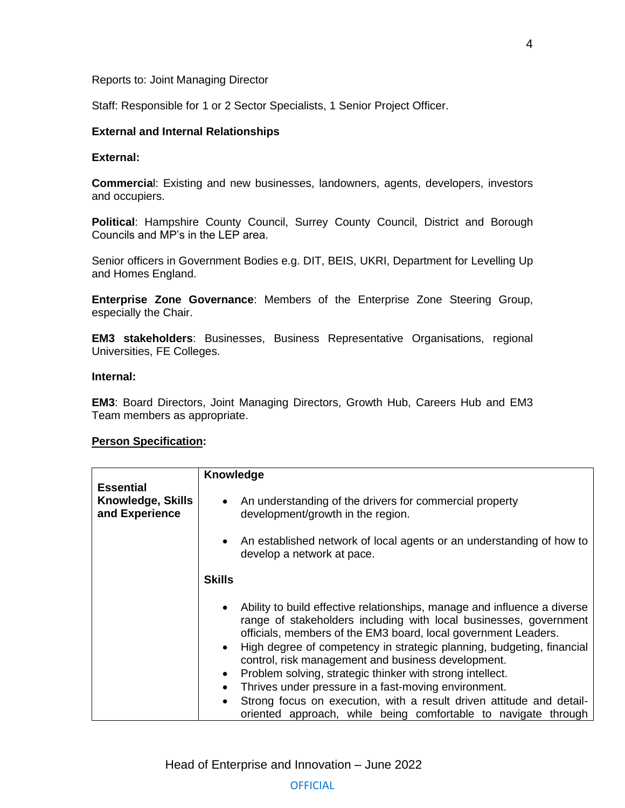Reports to: Joint Managing Director

Staff: Responsible for 1 or 2 Sector Specialists, 1 Senior Project Officer.

#### **External and Internal Relationships**

## **External:**

**Commercia**l: Existing and new businesses, landowners, agents, developers, investors and occupiers.

**Political**: Hampshire County Council, Surrey County Council, District and Borough Councils and MP's in the LEP area.

Senior officers in Government Bodies e.g. DIT, BEIS, UKRI, Department for Levelling Up and Homes England.

**Enterprise Zone Governance**: Members of the Enterprise Zone Steering Group, especially the Chair.

**EM3 stakeholders**: Businesses, Business Representative Organisations, regional Universities, FE Colleges.

#### **Internal:**

**EM3**: Board Directors, Joint Managing Directors, Growth Hub, Careers Hub and EM3 Team members as appropriate.

#### **Person Specification:**

|                                                                | Knowledge                                                                                                                                                                                                                                                                                                                                                                                                                                                                                                                                                                                                                                                         |
|----------------------------------------------------------------|-------------------------------------------------------------------------------------------------------------------------------------------------------------------------------------------------------------------------------------------------------------------------------------------------------------------------------------------------------------------------------------------------------------------------------------------------------------------------------------------------------------------------------------------------------------------------------------------------------------------------------------------------------------------|
| <b>Essential</b><br><b>Knowledge, Skills</b><br>and Experience | An understanding of the drivers for commercial property<br>$\bullet$<br>development/growth in the region.                                                                                                                                                                                                                                                                                                                                                                                                                                                                                                                                                         |
|                                                                | An established network of local agents or an understanding of how to<br>develop a network at pace.                                                                                                                                                                                                                                                                                                                                                                                                                                                                                                                                                                |
|                                                                | <b>Skills</b>                                                                                                                                                                                                                                                                                                                                                                                                                                                                                                                                                                                                                                                     |
|                                                                | Ability to build effective relationships, manage and influence a diverse<br>$\bullet$<br>range of stakeholders including with local businesses, government<br>officials, members of the EM3 board, local government Leaders.<br>High degree of competency in strategic planning, budgeting, financial<br>$\bullet$<br>control, risk management and business development.<br>Problem solving, strategic thinker with strong intellect.<br>$\bullet$<br>Thrives under pressure in a fast-moving environment.<br>Strong focus on execution, with a result driven attitude and detail-<br>$\bullet$<br>oriented approach, while being comfortable to navigate through |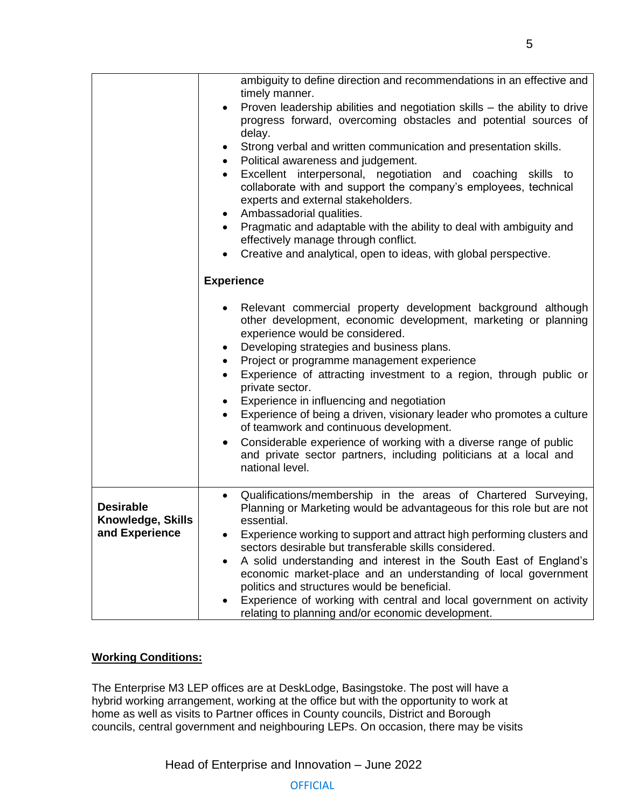|                                                         | ambiguity to define direction and recommendations in an effective and<br>timely manner.<br>Proven leadership abilities and negotiation skills - the ability to drive<br>$\bullet$<br>progress forward, overcoming obstacles and potential sources of<br>delay.<br>Strong verbal and written communication and presentation skills.<br>$\bullet$<br>Political awareness and judgement.<br>$\bullet$<br>Excellent interpersonal, negotiation and coaching skills to<br>$\bullet$<br>collaborate with and support the company's employees, technical<br>experts and external stakeholders.<br>Ambassadorial qualities.<br>$\bullet$<br>Pragmatic and adaptable with the ability to deal with ambiguity and<br>$\bullet$<br>effectively manage through conflict.<br>Creative and analytical, open to ideas, with global perspective. |
|---------------------------------------------------------|----------------------------------------------------------------------------------------------------------------------------------------------------------------------------------------------------------------------------------------------------------------------------------------------------------------------------------------------------------------------------------------------------------------------------------------------------------------------------------------------------------------------------------------------------------------------------------------------------------------------------------------------------------------------------------------------------------------------------------------------------------------------------------------------------------------------------------|
|                                                         | <b>Experience</b>                                                                                                                                                                                                                                                                                                                                                                                                                                                                                                                                                                                                                                                                                                                                                                                                                |
|                                                         | Relevant commercial property development background although<br>other development, economic development, marketing or planning<br>experience would be considered.<br>Developing strategies and business plans.<br>$\bullet$<br>Project or programme management experience<br>$\bullet$<br>Experience of attracting investment to a region, through public or<br>$\bullet$<br>private sector.<br>Experience in influencing and negotiation<br>٠<br>Experience of being a driven, visionary leader who promotes a culture<br>of teamwork and continuous development.<br>Considerable experience of working with a diverse range of public<br>$\bullet$<br>and private sector partners, including politicians at a local and<br>national level.                                                                                     |
| <b>Desirable</b><br>Knowledge, Skills<br>and Experience | Qualifications/membership in the areas of Chartered Surveying,<br>$\bullet$<br>Planning or Marketing would be advantageous for this role but are not<br>essential.<br>Experience working to support and attract high performing clusters and<br>sectors desirable but transferable skills considered.<br>A solid understanding and interest in the South East of England's<br>economic market-place and an understanding of local government<br>politics and structures would be beneficial.<br>Experience of working with central and local government on activity<br>relating to planning and/or economic development.                                                                                                                                                                                                         |

# **Working Conditions:**

The Enterprise M3 LEP offices are at DeskLodge, Basingstoke. The post will have a hybrid working arrangement, working at the office but with the opportunity to work at home as well as visits to Partner offices in County councils, District and Borough councils, central government and neighbouring LEPs. On occasion, there may be visits